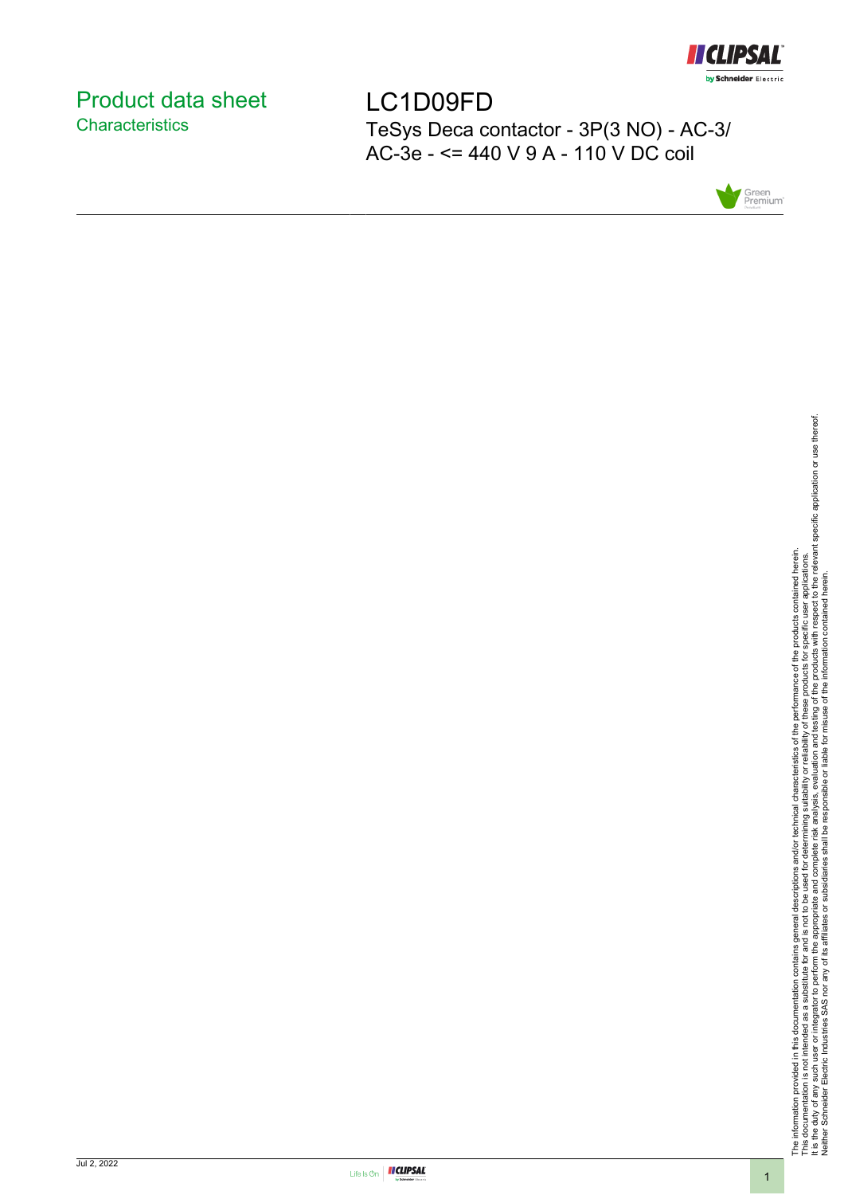

# <span id="page-0-0"></span>Product data sheet **Characteristics**

LC1D09FD TeSys Deca contactor - 3P(3 NO) - AC-3/ AC-3e - <= 440 V 9 A - 110 V DC coil



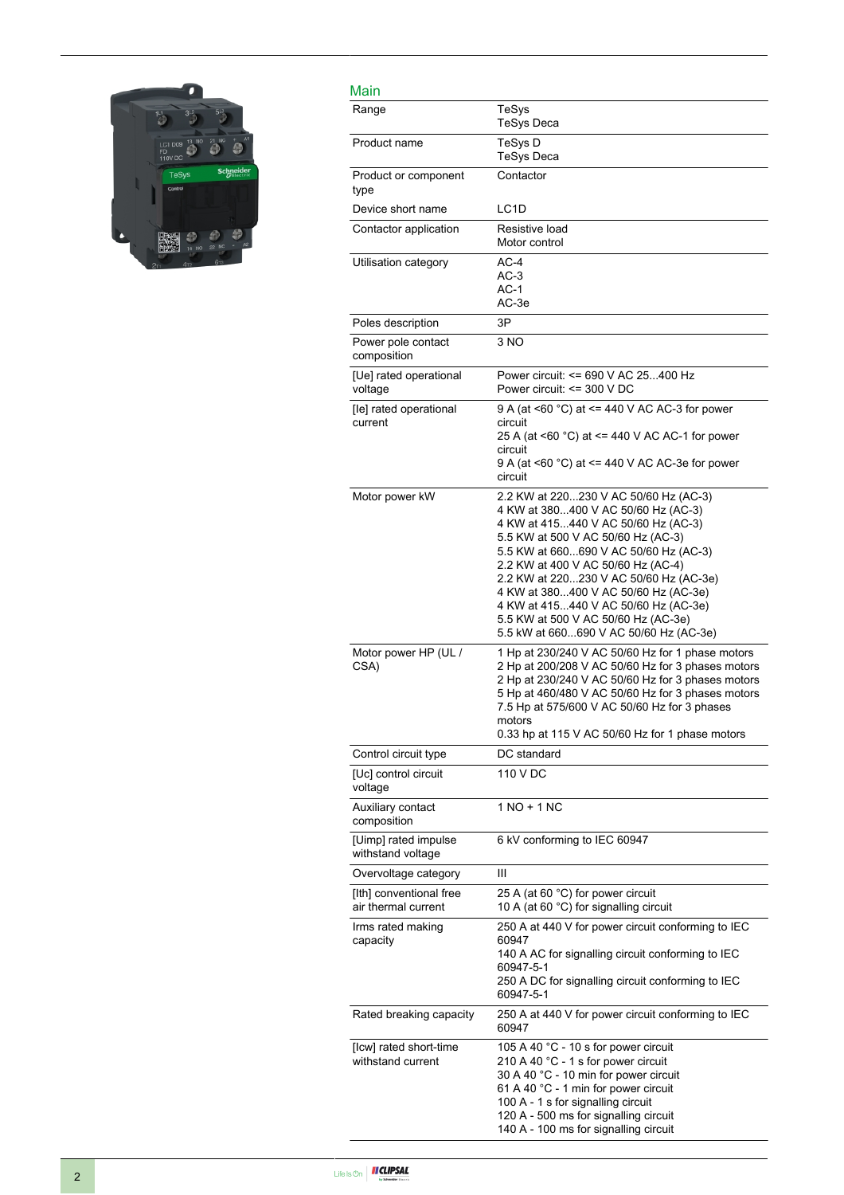

| Main                                           |                                                                                                                                                                                                                                                                                                                                                                                                                                                     |
|------------------------------------------------|-----------------------------------------------------------------------------------------------------------------------------------------------------------------------------------------------------------------------------------------------------------------------------------------------------------------------------------------------------------------------------------------------------------------------------------------------------|
| Range                                          | TeSys<br><b>TeSys Deca</b>                                                                                                                                                                                                                                                                                                                                                                                                                          |
| Product name                                   | TeSys D<br>TeSys Deca                                                                                                                                                                                                                                                                                                                                                                                                                               |
| Product or component<br>type                   | Contactor                                                                                                                                                                                                                                                                                                                                                                                                                                           |
| Device short name                              | LC <sub>1</sub> D                                                                                                                                                                                                                                                                                                                                                                                                                                   |
| Contactor application                          | Resistive load<br>Motor control                                                                                                                                                                                                                                                                                                                                                                                                                     |
| Utilisation category                           | $AC-4$<br>$AC-3$<br>$AC-1$<br>AC-3e                                                                                                                                                                                                                                                                                                                                                                                                                 |
| Poles description                              | 3P                                                                                                                                                                                                                                                                                                                                                                                                                                                  |
| Power pole contact<br>composition              | 3 NO                                                                                                                                                                                                                                                                                                                                                                                                                                                |
| [Ue] rated operational<br>voltage              | Power circuit: <= 690 V AC 25400 Hz<br>Power circuit: <= 300 V DC                                                                                                                                                                                                                                                                                                                                                                                   |
| [le] rated operational<br>current              | 9 A (at <60 °C) at <= 440 V AC AC-3 for power<br>circuit<br>25 A (at <60 °C) at <= 440 V AC AC-1 for power<br>circuit<br>9 A (at <60 °C) at <= 440 V AC AC-3e for power<br>circuit                                                                                                                                                                                                                                                                  |
| Motor power kW                                 | 2.2 KW at 220230 V AC 50/60 Hz (AC-3)<br>4 KW at 380400 V AC 50/60 Hz (AC-3)<br>4 KW at 415440 V AC 50/60 Hz (AC-3)<br>5.5 KW at 500 V AC 50/60 Hz (AC-3)<br>5.5 KW at 660690 V AC 50/60 Hz (AC-3)<br>2.2 KW at 400 V AC 50/60 Hz (AC-4)<br>2.2 KW at 220230 V AC 50/60 Hz (AC-3e)<br>4 KW at 380400 V AC 50/60 Hz (AC-3e)<br>4 KW at 415440 V AC 50/60 Hz (AC-3e)<br>5.5 KW at 500 V AC 50/60 Hz (AC-3e)<br>5.5 kW at 660690 V AC 50/60 Hz (AC-3e) |
| Motor power HP (UL /<br>CSA)                   | 1 Hp at 230/240 V AC 50/60 Hz for 1 phase motors<br>2 Hp at 200/208 V AC 50/60 Hz for 3 phases motors<br>2 Hp at 230/240 V AC 50/60 Hz for 3 phases motors<br>5 Hp at 460/480 V AC 50/60 Hz for 3 phases motors<br>7.5 Hp at 575/600 V AC 50/60 Hz for 3 phases<br>motors<br>0.33 hp at 115 V AC 50/60 Hz for 1 phase motors                                                                                                                        |
| Control circuit type                           | DC standard                                                                                                                                                                                                                                                                                                                                                                                                                                         |
| [Uc] control circuit<br>voltage                | 110 V DC                                                                                                                                                                                                                                                                                                                                                                                                                                            |
| Auxiliary contact<br>composition               | $1 NQ + 1 NC$                                                                                                                                                                                                                                                                                                                                                                                                                                       |
| [Uimp] rated impulse<br>withstand voltage      | 6 kV conforming to IEC 60947                                                                                                                                                                                                                                                                                                                                                                                                                        |
| Overvoltage category                           | Ш                                                                                                                                                                                                                                                                                                                                                                                                                                                   |
| [Ith] conventional free<br>air thermal current | 25 A (at 60 °C) for power circuit<br>10 A (at 60 °C) for signalling circuit                                                                                                                                                                                                                                                                                                                                                                         |
| Irms rated making<br>capacity                  | 250 A at 440 V for power circuit conforming to IEC<br>60947<br>140 A AC for signalling circuit conforming to IEC<br>60947-5-1<br>250 A DC for signalling circuit conforming to IEC<br>60947-5-1                                                                                                                                                                                                                                                     |
| Rated breaking capacity                        | 250 A at 440 V for power circuit conforming to IEC<br>60947                                                                                                                                                                                                                                                                                                                                                                                         |
| [Icw] rated short-time<br>withstand current    | 105 A 40 °C - 10 s for power circuit<br>210 A 40 °C - 1 s for power circuit<br>30 A 40 °C - 10 min for power circuit<br>61 A 40 °C - 1 min for power circuit<br>100 A - 1 s for signalling circuit<br>120 A - 500 ms for signalling circuit<br>140 A - 100 ms for signalling circuit                                                                                                                                                                |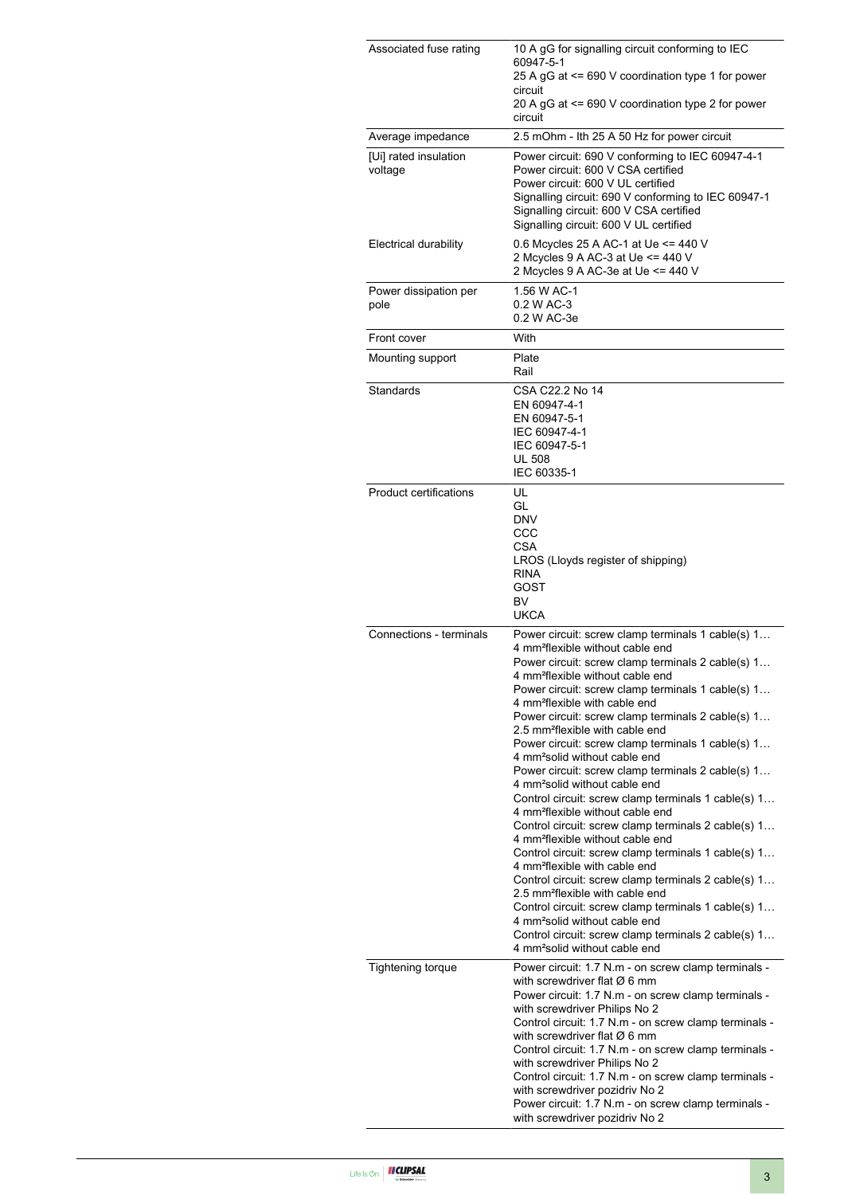| Associated fuse rating           | 10 A gG for signalling circuit conforming to IEC<br>60947-5-1                                                                                                                                                                                                                                                                                                                                                                                                                                                                                                                                                                                                                                                                                                                                                                                                                                                                                                                                                                                                                                                                                                                                                                                    |
|----------------------------------|--------------------------------------------------------------------------------------------------------------------------------------------------------------------------------------------------------------------------------------------------------------------------------------------------------------------------------------------------------------------------------------------------------------------------------------------------------------------------------------------------------------------------------------------------------------------------------------------------------------------------------------------------------------------------------------------------------------------------------------------------------------------------------------------------------------------------------------------------------------------------------------------------------------------------------------------------------------------------------------------------------------------------------------------------------------------------------------------------------------------------------------------------------------------------------------------------------------------------------------------------|
|                                  | 25 A gG at <= 690 V coordination type 1 for power<br>circuit<br>20 A gG at <= 690 V coordination type 2 for power                                                                                                                                                                                                                                                                                                                                                                                                                                                                                                                                                                                                                                                                                                                                                                                                                                                                                                                                                                                                                                                                                                                                |
|                                  | circuit                                                                                                                                                                                                                                                                                                                                                                                                                                                                                                                                                                                                                                                                                                                                                                                                                                                                                                                                                                                                                                                                                                                                                                                                                                          |
| Average impedance                | 2.5 mOhm - Ith 25 A 50 Hz for power circuit                                                                                                                                                                                                                                                                                                                                                                                                                                                                                                                                                                                                                                                                                                                                                                                                                                                                                                                                                                                                                                                                                                                                                                                                      |
| [Ui] rated insulation<br>voltage | Power circuit: 690 V conforming to IEC 60947-4-1<br>Power circuit: 600 V CSA certified<br>Power circuit: 600 V UL certified<br>Signalling circuit: 690 V conforming to IEC 60947-1<br>Signalling circuit: 600 V CSA certified<br>Signalling circuit: 600 V UL certified                                                                                                                                                                                                                                                                                                                                                                                                                                                                                                                                                                                                                                                                                                                                                                                                                                                                                                                                                                          |
| <b>Electrical durability</b>     | 0.6 Mcycles 25 A AC-1 at Ue <= 440 V<br>2 Mcycles 9 A AC-3 at Ue <= 440 V<br>2 Mcycles 9 A AC-3e at Ue <= 440 V                                                                                                                                                                                                                                                                                                                                                                                                                                                                                                                                                                                                                                                                                                                                                                                                                                                                                                                                                                                                                                                                                                                                  |
| Power dissipation per<br>pole    | 1.56 W AC-1<br>0.2 W AC-3<br>0.2 W AC-3e                                                                                                                                                                                                                                                                                                                                                                                                                                                                                                                                                                                                                                                                                                                                                                                                                                                                                                                                                                                                                                                                                                                                                                                                         |
| Front cover                      | With                                                                                                                                                                                                                                                                                                                                                                                                                                                                                                                                                                                                                                                                                                                                                                                                                                                                                                                                                                                                                                                                                                                                                                                                                                             |
| Mounting support                 | Plate<br>Rail                                                                                                                                                                                                                                                                                                                                                                                                                                                                                                                                                                                                                                                                                                                                                                                                                                                                                                                                                                                                                                                                                                                                                                                                                                    |
| Standards                        | CSA C22.2 No 14<br>EN 60947-4-1<br>EN 60947-5-1<br>IEC 60947-4-1<br>IEC 60947-5-1<br><b>UL 508</b><br>IEC 60335-1                                                                                                                                                                                                                                                                                                                                                                                                                                                                                                                                                                                                                                                                                                                                                                                                                                                                                                                                                                                                                                                                                                                                |
| <b>Product certifications</b>    | UL<br>GL<br><b>DNV</b><br>CCC<br>CSA<br>LROS (Lloyds register of shipping)<br><b>RINA</b><br>GOST<br><b>BV</b><br><b>UKCA</b>                                                                                                                                                                                                                                                                                                                                                                                                                                                                                                                                                                                                                                                                                                                                                                                                                                                                                                                                                                                                                                                                                                                    |
| Connections - terminals          | Power circuit: screw clamp terminals 1 cable(s) 1<br>4 mm <sup>2</sup> flexible without cable end<br>Power circuit: screw clamp terminals 2 cable(s) 1<br>4 mm <sup>2</sup> flexible without cable end<br>Power circuit: screw clamp terminals 1 cable(s) 1<br>4 mm <sup>2</sup> flexible with cable end<br>Power circuit: screw clamp terminals 2 cable(s) 1<br>2.5 mm <sup>2</sup> flexible with cable end<br>Power circuit: screw clamp terminals 1 cable(s) 1<br>4 mm <sup>2</sup> solid without cable end<br>Power circuit: screw clamp terminals 2 cable(s) 1<br>4 mm <sup>2</sup> solid without cable end<br>Control circuit: screw clamp terminals 1 cable(s) 1<br>4 mm <sup>2</sup> flexible without cable end<br>Control circuit: screw clamp terminals 2 cable(s) 1<br>4 mm <sup>2</sup> flexible without cable end<br>Control circuit: screw clamp terminals 1 cable(s) 1<br>4 mm <sup>2</sup> flexible with cable end<br>Control circuit: screw clamp terminals 2 cable(s) 1<br>2.5 mm <sup>2</sup> flexible with cable end<br>Control circuit: screw clamp terminals 1 cable(s) 1<br>4 mm <sup>2</sup> solid without cable end<br>Control circuit: screw clamp terminals 2 cable(s) 1<br>4 mm <sup>2</sup> solid without cable end |
| <b>Tightening torque</b>         | Power circuit: 1.7 N.m - on screw clamp terminals -<br>with screwdriver flat $\varnothing$ 6 mm<br>Power circuit: 1.7 N.m - on screw clamp terminals -<br>with screwdriver Philips No 2<br>Control circuit: 1.7 N.m - on screw clamp terminals -<br>with screwdriver flat $\varnothing$ 6 mm<br>Control circuit: 1.7 N.m - on screw clamp terminals -<br>with screwdriver Philips No 2<br>Control circuit: 1.7 N.m - on screw clamp terminals -<br>with screwdriver pozidriv No 2<br>Power circuit: 1.7 N.m - on screw clamp terminals -<br>with screwdriver pozidriv No 2                                                                                                                                                                                                                                                                                                                                                                                                                                                                                                                                                                                                                                                                       |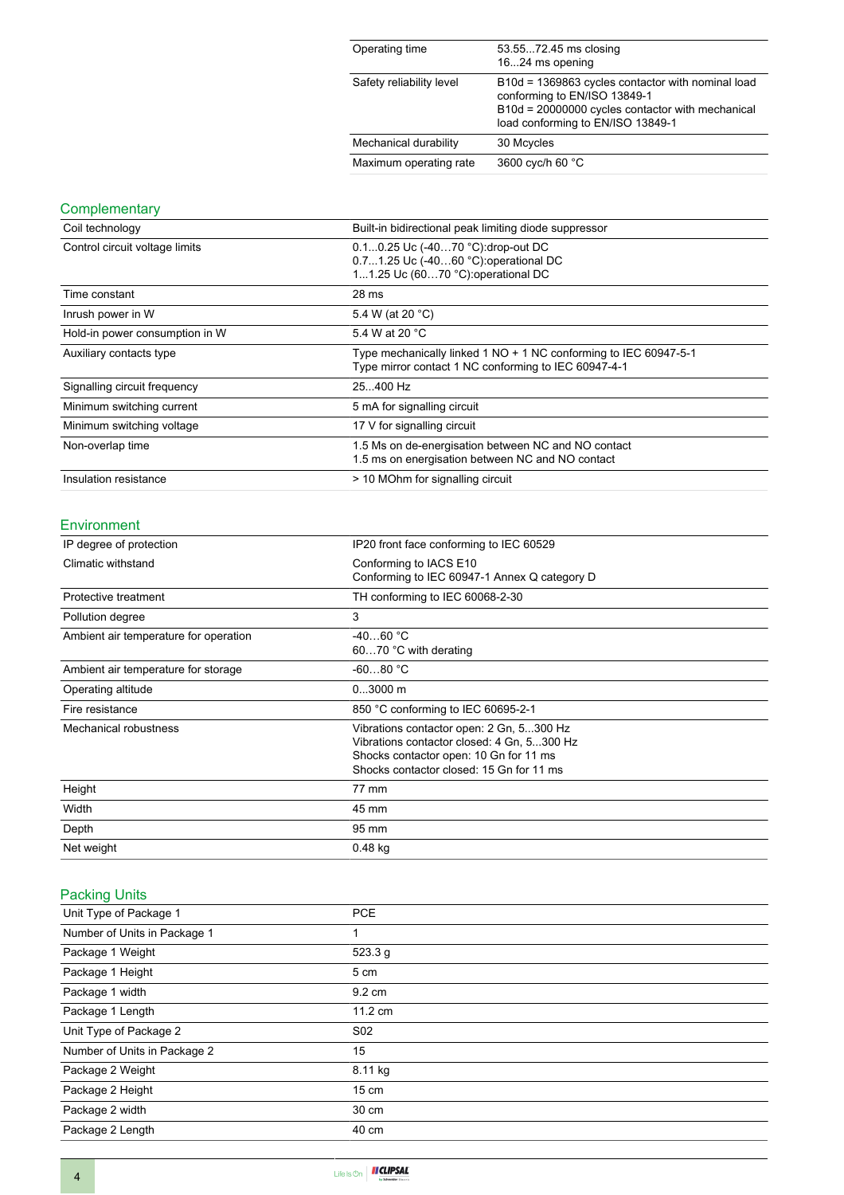| Operating time           | 53.5572.45 ms closing<br>1624 ms opening                                                                                                                                   |
|--------------------------|----------------------------------------------------------------------------------------------------------------------------------------------------------------------------|
| Safety reliability level | B10d = 1369863 cycles contactor with nominal load<br>conforming to EN/ISO 13849-1<br>B10d = 20000000 cycles contactor with mechanical<br>load conforming to EN/ISO 13849-1 |
| Mechanical durability    | 30 Mcycles                                                                                                                                                                 |
| Maximum operating rate   | 3600 cyc/h 60 °C                                                                                                                                                           |

# **Complementary**

| Coil technology                | Built-in bidirectional peak limiting diode suppressor                                                                    |  |
|--------------------------------|--------------------------------------------------------------------------------------------------------------------------|--|
| Control circuit voltage limits | 0.10.25 Uc (-4070 °C):drop-out DC<br>0.71.25 Uc (-4060 °C) operational DC<br>11.25 Uc (6070 °C): operational DC          |  |
| Time constant                  | 28 ms                                                                                                                    |  |
| Inrush power in W              | 5.4 W (at 20 °C)                                                                                                         |  |
| Hold-in power consumption in W | 5.4 W at 20 °C                                                                                                           |  |
| Auxiliary contacts type        | Type mechanically linked 1 NO + 1 NC conforming to IEC 60947-5-1<br>Type mirror contact 1 NC conforming to IEC 60947-4-1 |  |
| Signalling circuit frequency   | 25.400 Hz                                                                                                                |  |
| Minimum switching current      | 5 mA for signalling circuit                                                                                              |  |
| Minimum switching voltage      | 17 V for signalling circuit                                                                                              |  |
| Non-overlap time               | 1.5 Ms on de-energisation between NC and NO contact<br>1.5 ms on energisation between NC and NO contact                  |  |
| Insulation resistance          | > 10 MOhm for signalling circuit                                                                                         |  |

#### Environment

| IP degree of protection               | IP20 front face conforming to IEC 60529                                                                                                                                      |
|---------------------------------------|------------------------------------------------------------------------------------------------------------------------------------------------------------------------------|
| Climatic withstand                    | Conforming to IACS E10<br>Conforming to IEC 60947-1 Annex Q category D                                                                                                       |
| Protective treatment                  | TH conforming to IEC 60068-2-30                                                                                                                                              |
| Pollution degree                      | 3                                                                                                                                                                            |
| Ambient air temperature for operation | $-4060 °C$<br>6070 °C with derating                                                                                                                                          |
| Ambient air temperature for storage   | $-6080 °C$                                                                                                                                                                   |
| Operating altitude                    | $03000$ m                                                                                                                                                                    |
| Fire resistance                       | 850 °C conforming to IEC 60695-2-1                                                                                                                                           |
| Mechanical robustness                 | Vibrations contactor open: 2 Gn, 5300 Hz<br>Vibrations contactor closed: 4 Gn, 5300 Hz<br>Shocks contactor open: 10 Gn for 11 ms<br>Shocks contactor closed: 15 Gn for 11 ms |
| Height                                | 77 mm                                                                                                                                                                        |
| Width                                 | 45 mm                                                                                                                                                                        |
| Depth                                 | 95 mm                                                                                                                                                                        |
| Net weight                            | $0.48$ kg                                                                                                                                                                    |

## Packing Units

| <b>PCE</b>      |  |
|-----------------|--|
| 1               |  |
| 523.3 g         |  |
| 5 cm            |  |
| 9.2 cm          |  |
| 11.2 cm         |  |
| S <sub>02</sub> |  |
| 15              |  |
| 8.11 kg         |  |
| $15 \text{ cm}$ |  |
| 30 cm           |  |
| 40 cm           |  |
|                 |  |